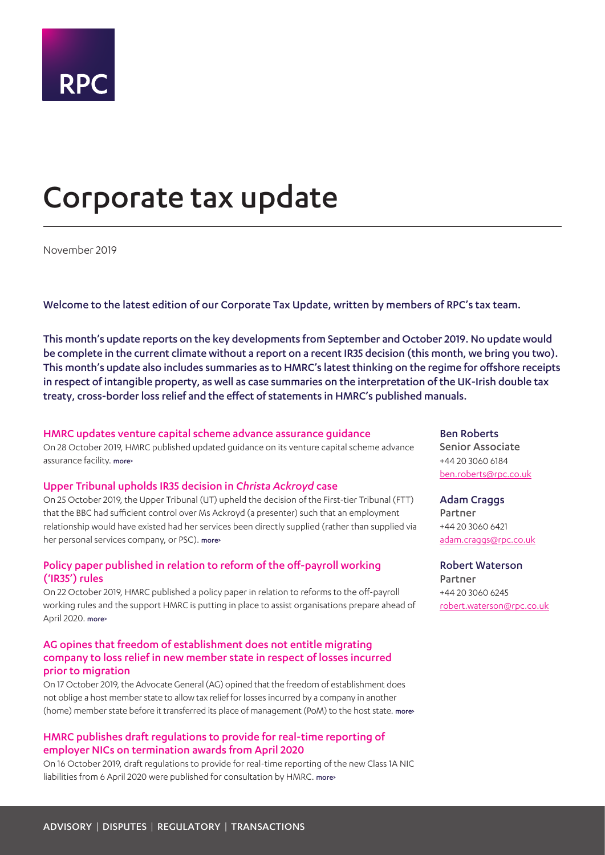# <span id="page-0-0"></span>Corporate tax update

November 2019

Welcome to the latest edition of our Corporate Tax Update, written by members of RPC's tax team.

This month's update reports on the key developments from September and October 2019. No update would be complete in the current climate without a report on a recent IR35 decision (this month, we bring you two). This month's update also includes summaries as to HMRC's latest thinking on the regime for offshore receipts in respect of intangible property, as well as case summaries on the interpretation of the UK-Irish double tax treaty, cross-border loss relief and the effect of statements in HMRC's published manuals.

## HMRC updates venture capital scheme advance assurance guidance

On 28 October 2019, HMRC published updated guidance on its venture capital scheme advance assurance facility. [more>](#page-2-0)

## Upper Tribunal upholds IR35 decision in *Christa Ackroyd* case

On 25 October 2019, the Upper Tribunal (UT) upheld the decision of the First-tier Tribunal (FTT) that the BBC had sufficient control over Ms Ackroyd (a presenter) such that an employment relationship would have existed had her services been directly supplied (rather than supplied via her personal services company, or PSC). [more>](#page-2-1)

## Policy paper published in relation to reform of the off-payroll working ('IR35') rules

On 22 October 2019, HMRC published a policy paper in relation to reforms to the off-payroll working rules and the support HMRC is putting in place to assist organisations prepare ahead of April 2020. more>

## AG opines that freedom of establishment does not entitle migrating company to loss relief in new member state in respect of losses incurred prior to migration

On 17 October 2019, the Advocate General (AG) opined that the freedom of establishment does not oblige a host member state to allow tax relief for losses incurred by a company in another (home) member state before it transferred its place of management (PoM) to the host state. [more>](#page-3-0)

## HMRC publishes draft regulations to provide for real-time reporting of employer NICs on termination awards from April 2020

On 16 October 2019, draft regulations to provide for real-time reporting of the new Class 1A NIC liabilities from 6 April 2020 were published for consultation by HMRC. [more>](#page-4-0)

Ben Roberts

Senior Associate +44 20 3060 6184 [ben.roberts@rpc.co.uk](mailto:ben.roberts%40rpc.co.uk?subject=)

## Adam Craggs

Partner +44 20 3060 6421 [adam.craggs@rpc.co.uk](mailto:adam.craggs%40rpc.co.uk?subject=)

Robert Waterson Partner +44 20 3060 6245 [robert.waterson@rpc.co.uk](mailto:robert.waterson%40rpc.co.uk?subject=)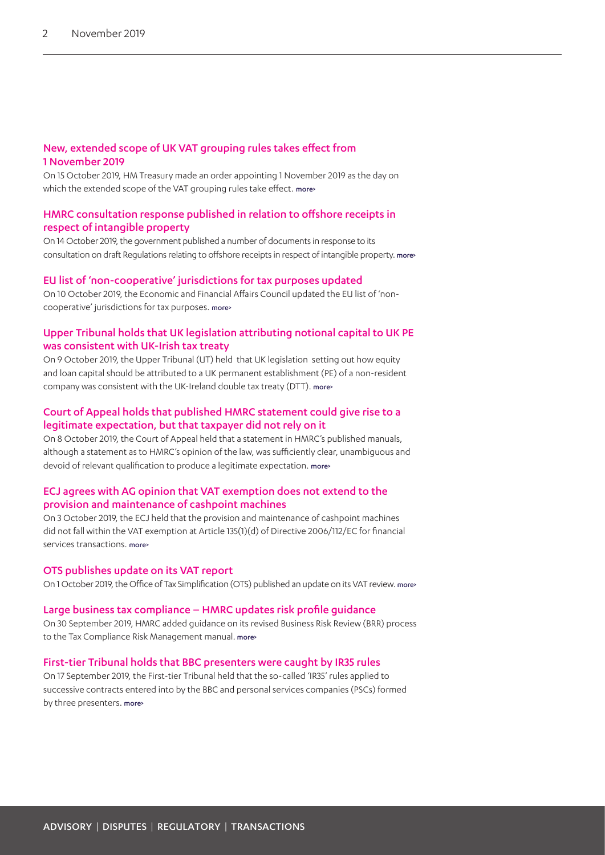## New, extended scope of UK VAT grouping rules takes effect from 1 November 2019

On 15 October 2019, HM Treasury made an order appointing 1 November 2019 as the day on which the extended scope of the VAT grouping rules take effect. [more>](#page-4-1)

## HMRC consultation response published in relation to offshore receipts in respect of intangible property

On 14 October 2019, the government published a number of documents in response to its consultation on draft Regulations relating to offshore receipts in respect of intangible property. [more>](#page-4-2)

## EU list of 'non-cooperative' jurisdictions for tax purposes updated

On 10 October 2019, the Economic and Financial Affairs Council updated the EU list of 'noncooperative' jurisdictions for tax purposes. more>

## Upper Tribunal holds that UK legislation attributing notional capital to UK PE was consistent with UK-Irish tax treaty

On 9 October 2019, the Upper Tribunal (UT) held that UK legislation setting out how equity and loan capital should be attributed to a UK permanent establishment (PE) of a non-resident company was consistent with the UK-Ireland double tax treaty (DTT). [more>](#page-5-0)

## Court of Appeal holds that published HMRC statement could give rise to a legitimate expectation, but that taxpayer did not rely on it

On 8 October 2019, the Court of Appeal held that a statement in HMRC's published manuals, although a statement as to HMRC's opinion of the law, was sufficiently clear, unambiguous and devoid of relevant qualification to produce a legitimate expectation. [more>](#page-6-0)

## ECJ agrees with AG opinion that VAT exemption does not extend to the provision and maintenance of cashpoint machines

On 3 October 2019, the ECJ held that the provision and maintenance of cashpoint machines did not fall within the VAT exemption at Article 135(1)(d) of Directive 2006/112/EC for financial services transactions, more

## OTS publishes update on its VAT report

On 1 October 2019, the Office of Tax Simplification (OTS) published an update on its VAT review. [more>](#page-7-1)

## Large business tax compliance – HMRC updates risk profile guidance

On 30 September 2019, HMRC added guidance on its revised Business Risk Review (BRR) process to the Tax Compliance Risk Management manual. [more>](#page-7-2)

## First-tier Tribunal holds that BBC presenters were caught by IR35 rules

On 17 September 2019, the First-tier Tribunal held that the so-called 'IR35' rules applied to successive contracts entered into by the BBC and personal services companies (PSCs) formed by three presenters. [more>](#page-8-0)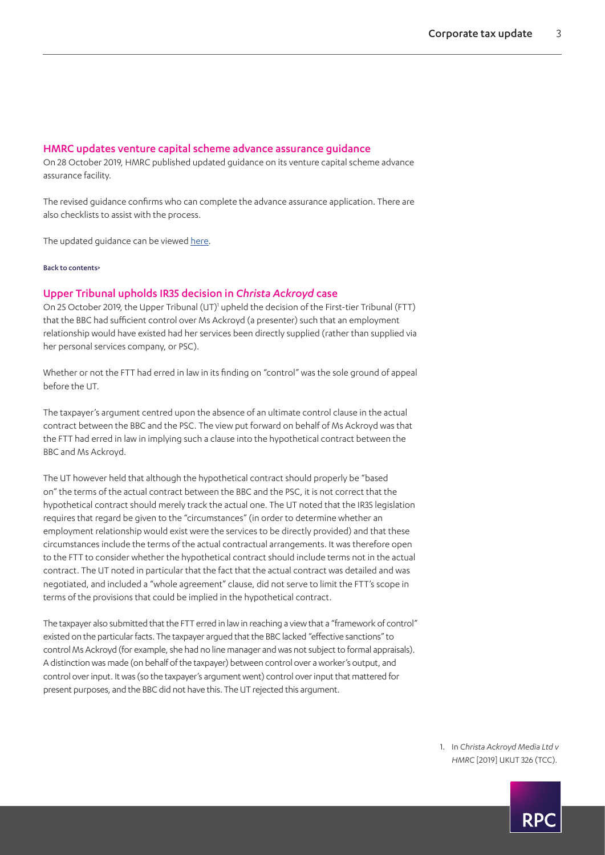#### <span id="page-2-0"></span>HMRC updates venture capital scheme advance assurance guidance

On 28 October 2019, HMRC published updated guidance on its venture capital scheme advance assurance facility.

The revised guidance confirms who can complete the advance assurance application. There are also checklists to assist with the process.

The updated guidance can be viewed [here](https://www.gov.uk/guidance/venture-capital-schemes-apply-for-advance-assurance).

[Back to contents>](#page-0-0)

#### <span id="page-2-1"></span>Upper Tribunal upholds IR35 decision in *Christa Ackroyd* case

On 25 October 20[1](#page-2-2)9, the Upper Tribunal (UT)<sup>1</sup> upheld the decision of the First-tier Tribunal (FTT) that the BBC had sufficient control over Ms Ackroyd (a presenter) such that an employment relationship would have existed had her services been directly supplied (rather than supplied via her personal services company, or PSC).

Whether or not the FTT had erred in law in its finding on "control" was the sole ground of appeal before the UT.

The taxpayer's argument centred upon the absence of an ultimate control clause in the actual contract between the BBC and the PSC. The view put forward on behalf of Ms Ackroyd was that the FTT had erred in law in implying such a clause into the hypothetical contract between the BBC and Ms Ackroyd.

The UT however held that although the hypothetical contract should properly be "based on" the terms of the actual contract between the BBC and the PSC, it is not correct that the hypothetical contract should merely track the actual one. The UT noted that the IR35 legislation requires that regard be given to the "circumstances" (in order to determine whether an employment relationship would exist were the services to be directly provided) and that these circumstances include the terms of the actual contractual arrangements. It was therefore open to the FTT to consider whether the hypothetical contract should include terms not in the actual contract. The UT noted in particular that the fact that the actual contract was detailed and was negotiated, and included a "whole agreement" clause, did not serve to limit the FTT's scope in terms of the provisions that could be implied in the hypothetical contract.

The taxpayer also submitted that the FTT erred in law in reaching a view that a "framework of control" existed on the particular facts. The taxpayer argued that the BBC lacked "effective sanctions" to control Ms Ackroyd (for example, she had no line manager and was not subject to formal appraisals). A distinction was made (on behalf of the taxpayer) between control over a worker's output, and control over input. It was (so the taxpayer's argument went) control over input that mattered for present purposes, and the BBC did not have this. The UT rejected this argument.

> <span id="page-2-2"></span>1. In *Christa Ackroyd Media Ltd v HMRC* [2019] UKUT 326 (TCC).

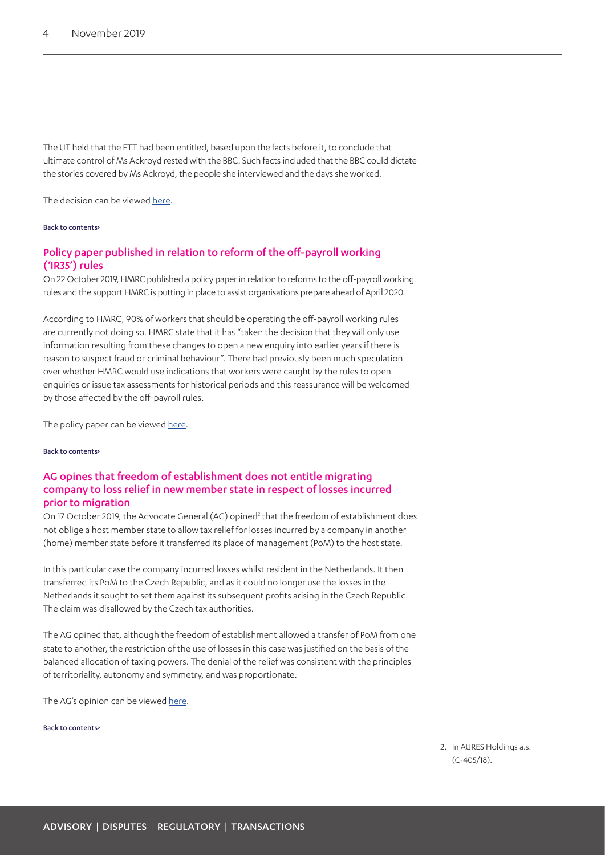The UT held that the FTT had been entitled, based upon the facts before it, to conclude that ultimate control of Ms Ackroyd rested with the BBC. Such facts included that the BBC could dictate the stories covered by Ms Ackroyd, the people she interviewed and the days she worked.

The decision can be viewed [here.](https://www.gov.uk/tax-and-chancery-tribunal-decisions/christa-ackroyd-media-ltd-v-the-commissioners-for-her-majesty-s-revenue-and-customs-2019-ukut-0326-tcc)

#### [Back to contents>](#page-0-0)

## Policy paper published in relation to reform of the off-payroll working ('IR35') rules

On 22 October 2019, HMRC published a policy paper in relation to reforms to the off-payroll working rules and the support HMRC is putting in place to assist organisations prepare ahead of April 2020.

According to HMRC, 90% of workers that should be operating the off-payroll working rules are currently not doing so. HMRC state that it has "taken the decision that they will only use information resulting from these changes to open a new enquiry into earlier years if there is reason to suspect fraud or criminal behaviour". There had previously been much speculation over whether HMRC would use indications that workers were caught by the rules to open enquiries or issue tax assessments for historical periods and this reassurance will be welcomed by those affected by the off-payroll rules.

The policy paper can be viewed [here.](https://www.gov.uk/government/publications/hmrc-issue-briefing-reform-of-off-payroll-working-rules/hmrc-issue-briefing-reform-of-off-payroll-working-rules)

[Back to contents>](#page-0-0)

## <span id="page-3-0"></span>AG opines that freedom of establishment does not entitle migrating company to loss relief in new member state in respect of losses incurred prior to migration

On 17 October [2](#page-3-1)019, the Advocate General (AG) opined<sup>2</sup> that the freedom of establishment does not oblige a host member state to allow tax relief for losses incurred by a company in another (home) member state before it transferred its place of management (PoM) to the host state.

In this particular case the company incurred losses whilst resident in the Netherlands. It then transferred its PoM to the Czech Republic, and as it could no longer use the losses in the Netherlands it sought to set them against its subsequent profits arising in the Czech Republic. The claim was disallowed by the Czech tax authorities.

The AG opined that, although the freedom of establishment allowed a transfer of PoM from one state to another, the restriction of the use of losses in this case was justified on the basis of the balanced allocation of taxing powers. The denial of the relief was consistent with the principles of territoriality, autonomy and symmetry, and was proportionate.

The AG's opinion can be viewed [here.](https://www.bailii.org/eu/cases/EUECJ/2019/C40518_O.html)

#### [Back to contents>](#page-0-0)

<span id="page-3-1"></span>2. In AURES Holdings a.s. (C-405/18).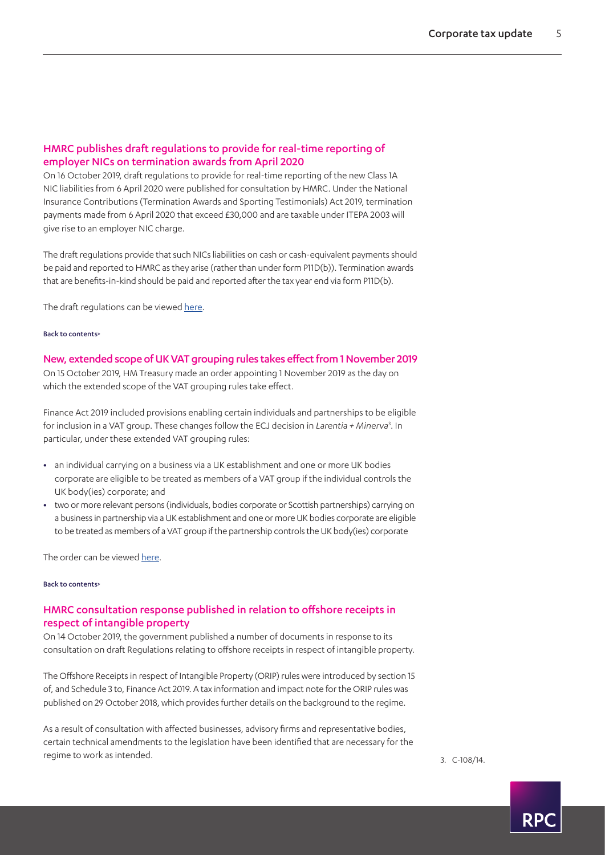## <span id="page-4-0"></span>HMRC publishes draft regulations to provide for real-time reporting of employer NICs on termination awards from April 2020

On 16 October 2019, draft regulations to provide for real-time reporting of the new Class 1A NIC liabilities from 6 April 2020 were published for consultation by HMRC. Under the National Insurance Contributions (Termination Awards and Sporting Testimonials) Act 2019, termination payments made from 6 April 2020 that exceed £30,000 and are taxable under ITEPA 2003 will give rise to an employer NIC charge.

The draft regulations provide that such NICs liabilities on cash or cash-equivalent payments should be paid and reported to HMRC as they arise (rather than under form P11D(b)). Termination awards that are benefits-in-kind should be paid and reported after the tax year end via form P11D(b).

The draft regulations can be viewed [here](https://www.gov.uk/government/consultations/draft-legislation-the-social-security-contributions-amendment-no-x-regulations-2020).

#### [Back to contents>](#page-0-0)

<span id="page-4-1"></span>New, extended scope of UK VAT grouping rules takes effect from 1 November 2019 On 15 October 2019, HM Treasury made an order appointing 1 November 2019 as the day on which the extended scope of the VAT grouping rules take effect.

Finance Act 2019 included provisions enabling certain individuals and partnerships to be eligible for inclusion in a VAT group. These changes follow the ECJ decision in *Larentia + Minerva*[3](#page-4-3) . In particular, under these extended VAT grouping rules:

- **•** an individual carrying on a business via a UK establishment and one or more UK bodies corporate are eligible to be treated as members of a VAT group if the individual controls the UK body(ies) corporate; and
- **•** two or more relevant persons (individuals, bodies corporate or Scottish partnerships) carrying on a business in partnership via a UK establishment and one or more UK bodies corporate are eligible to be treated as members of a VAT group if the partnership controls the UK body(ies) corporate

The order can be viewed [here.](http://www.legislation.gov.uk/uksi/2019/1348/pdfs/uksi_20191348_en.pdf)

#### [Back to contents>](#page-0-0)

## <span id="page-4-2"></span>HMRC consultation response published in relation to offshore receipts in respect of intangible property

On 14 October 2019, the government published a number of documents in response to its consultation on draft Regulations relating to offshore receipts in respect of intangible property.

The Offshore Receipts in respect of Intangible Property (ORIP) rules were introduced by section 15 of, and Schedule 3 to, Finance Act 2019. A tax information and impact note for the ORIP rules was published on 29 October 2018, which provides further details on the background to the regime.

As a result of consultation with affected businesses, advisory firms and representative bodies, certain technical amendments to the legislation have been identified that are necessary for the regime to work as intended. The set of the set of the set of the set of the set of the set of the set of the set of the set of the set of the set of the set of the set of the set of the set of the set of the set of the set

<span id="page-4-3"></span>

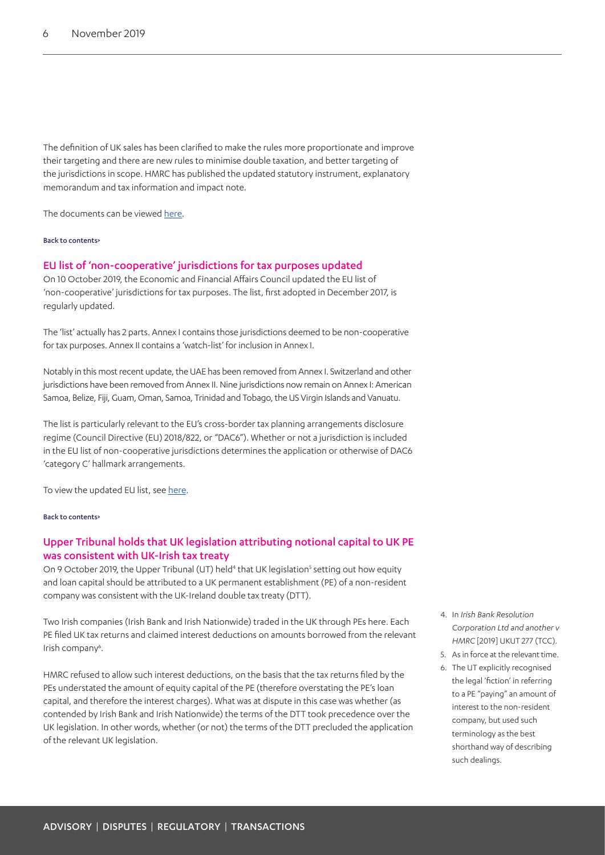The definition of UK sales has been clarified to make the rules more proportionate and improve their targeting and there are new rules to minimise double taxation, and better targeting of the jurisdictions in scope. HMRC has published the updated statutory instrument, explanatory memorandum and tax information and impact note.

The documents can be viewed [here](https://www.gov.uk/government/consultations/draft-regulations-offshore-receipts-in-respect-of-intangible-property).

#### [Back to contents>](#page-0-0)

#### EU list of 'non-cooperative' jurisdictions for tax purposes updated

On 10 October 2019, the Economic and Financial Affairs Council updated the EU list of 'non-cooperative' jurisdictions for tax purposes. The list, first adopted in December 2017, is regularly updated.

The 'list' actually has 2 parts. Annex I contains those jurisdictions deemed to be non-cooperative for tax purposes. Annex II contains a 'watch-list' for inclusion in Annex I.

Notably in this most recent update, the UAE has been removed from Annex I. Switzerland and other jurisdictions have been removed from Annex II. Nine jurisdictions now remain on Annex I: American Samoa, Belize, Fiji, Guam, Oman, Samoa, Trinidad and Tobago, the US Virgin Islands and Vanuatu.

The list is particularly relevant to the EU's cross-border tax planning arrangements disclosure regime (Council Directive (EU) 2018/822, or "DAC6"). Whether or not a jurisdiction is included in the EU list of non-cooperative jurisdictions determines the application or otherwise of DAC6 'category C' hallmark arrangements.

To view the updated EU list, see [here](https://www.consilium.europa.eu/en/press/press-releases/2019/10/10/taxation-2-countries-removed-from-list-of-non-cooperative-jurisdictions-5-meet-commitments/).

#### [Back to contents>](#page-0-0)

## <span id="page-5-0"></span>Upper Tribunal holds that UK legislation attributing notional capital to UK PE was consistent with UK-Irish tax treaty

On 9 October 2019, the Upper Tribunal (UT) held<sup>4</sup> that UK legislation<sup>5</sup> setting out how equity and loan capital should be attributed to a UK permanent establishment (PE) of a non-resident company was consistent with the UK-Ireland double tax treaty (DTT).

Two Irish companies (Irish Bank and Irish Nationwide) traded in the UK through PEs here. Each PE filed UK tax returns and claimed interest deductions on amounts borrowed from the relevant Irish company<sup>[6](#page-5-3)</sup>.

HMRC refused to allow such interest deductions, on the basis that the tax returns filed by the PEs understated the amount of equity capital of the PE (therefore overstating the PE's loan capital, and therefore the interest charges). What was at dispute in this case was whether (as contended by Irish Bank and Irish Nationwide) the terms of the DTT took precedence over the UK legislation. In other words, whether (or not) the terms of the DTT precluded the application of the relevant UK legislation.

- <span id="page-5-1"></span>4. In *Irish Bank Resolution Corporation Ltd and another v HMRC* [2019] UKUT 277 (TCC).
- <span id="page-5-2"></span>5. As in force at the relevant time.
- <span id="page-5-3"></span>6. The UT explicitly recognised the legal 'fiction' in referring to a PE "paying" an amount of interest to the non-resident company, but used such terminology as the best shorthand way of describing such dealings.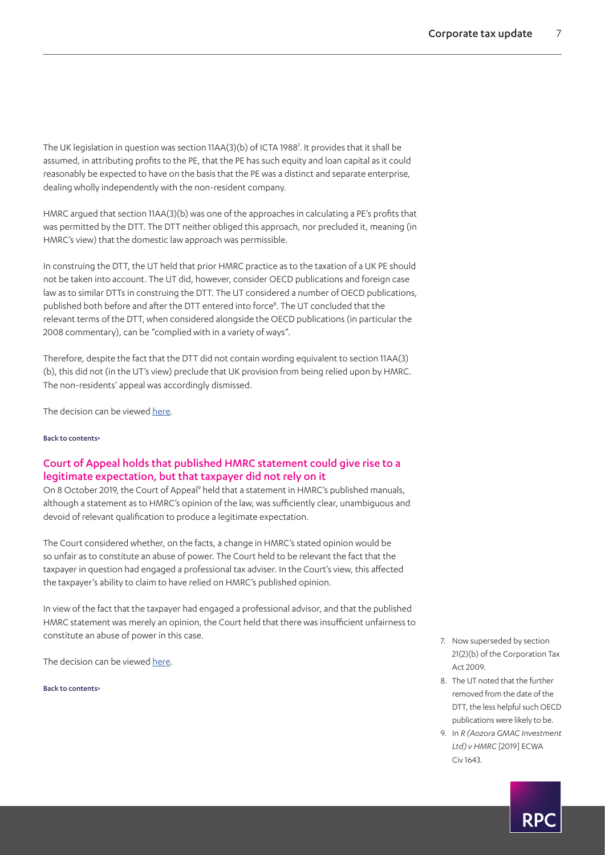The UK legislation in question was section 11AA(3)(b) of ICTA 1988<sup>[7](#page-6-1)</sup>. It provides that it shall be assumed, in attributing profits to the PE, that the PE has such equity and loan capital as it could reasonably be expected to have on the basis that the PE was a distinct and separate enterprise, dealing wholly independently with the non-resident company.

HMRC argued that section 11AA(3)(b) was one of the approaches in calculating a PE's profits that was permitted by the DTT. The DTT neither obliged this approach, nor precluded it, meaning (in HMRC's view) that the domestic law approach was permissible.

In construing the DTT, the UT held that prior HMRC practice as to the taxation of a UK PE should not be taken into account. The UT did, however, consider OECD publications and foreign case law as to similar DTTs in construing the DTT. The UT considered a number of OECD publications, published both before and after the DTT entered into force<sup>8</sup>. The UT concluded that the relevant terms of the DTT, when considered alongside the OECD publications (in particular the 2008 commentary), can be "complied with in a variety of ways".

Therefore, despite the fact that the DTT did not contain wording equivalent to section 11AA(3) (b), this did not (in the UT's view) preclude that UK provision from being relied upon by HMRC. The non-residents' appeal was accordingly dismissed.

The decision can be viewed [here.](https://www.gov.uk/tax-and-chancery-tribunal-decisions/irish-bank-resolution-corporation-ltd-in-special-liquidation-and-irish-nationwide-building-society-v-the-commissioners-for-hm-revenue-and-customs-2019-ukut-0277-tcc)

#### [Back to contents>](#page-0-0)

## <span id="page-6-0"></span>Court of Appeal holds that published HMRC statement could give rise to a legitimate expectation, but that taxpayer did not rely on it

On 8 October 201[9](#page-6-3), the Court of Appeal<sup>9</sup> held that a statement in HMRC's published manuals, although a statement as to HMRC's opinion of the law, was sufficiently clear, unambiguous and devoid of relevant qualification to produce a legitimate expectation.

The Court considered whether, on the facts, a change in HMRC's stated opinion would be so unfair as to constitute an abuse of power. The Court held to be relevant the fact that the taxpayer in question had engaged a professional tax adviser. In the Court's view, this affected the taxpayer's ability to claim to have relied on HMRC's published opinion.

In view of the fact that the taxpayer had engaged a professional advisor, and that the published HMRC statement was merely an opinion, the Court held that there was insufficient unfairness to constitute an abuse of power in this case.

The decision can be viewed [here.](https://www.bailii.org/ew/cases/EWCA/Civ/2019/1643.html)

[Back to contents>](#page-0-0)

- <span id="page-6-1"></span>7. Now superseded by section 21(2)(b) of the Corporation Tax Act 2009.
- <span id="page-6-2"></span>8. The UT noted that the further removed from the date of the DTT, the less helpful such OECD publications were likely to be.
- <span id="page-6-3"></span>9. In *R (Aozora GMAC Investment Ltd) v HMRC* [2019] ECWA Civ 1643.

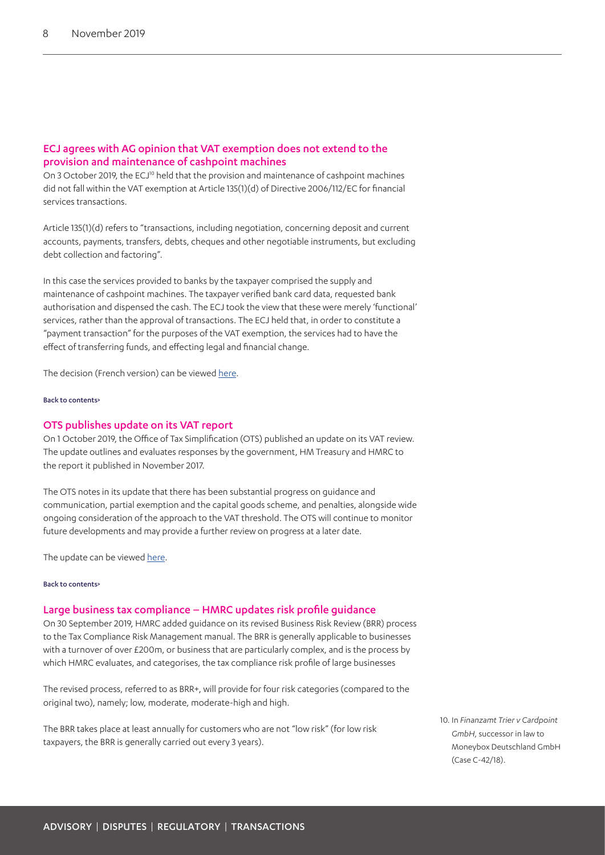## <span id="page-7-0"></span>ECJ agrees with AG opinion that VAT exemption does not extend to the provision and maintenance of cashpoint machines

On 3 October 2019, the ECJ<sup>10</sup> held that the provision and maintenance of cashpoint machines did not fall within the VAT exemption at Article 135(1)(d) of Directive 2006/112/EC for financial services transactions.

Article 135(1)(d) refers to "transactions, including negotiation, concerning deposit and current accounts, payments, transfers, debts, cheques and other negotiable instruments, but excluding debt collection and factoring".

In this case the services provided to banks by the taxpayer comprised the supply and maintenance of cashpoint machines. The taxpayer verified bank card data, requested bank authorisation and dispensed the cash. The ECJ took the view that these were merely 'functional' services, rather than the approval of transactions. The ECJ held that, in order to constitute a "payment transaction" for the purposes of the VAT exemption, the services had to have the effect of transferring funds, and effecting legal and financial change.

The decision (French version) can be viewed [here.](https://www.bailii.org/eu/cases/EUECJ/2019/C4218.html)

#### [Back to contents>](#page-0-0)

#### <span id="page-7-1"></span>OTS publishes update on its VAT report

On 1 October 2019, the Office of Tax Simplification (OTS) published an update on its VAT review. The update outlines and evaluates responses by the government, HM Treasury and HMRC to the report it published in November 2017.

The OTS notes in its update that there has been substantial progress on guidance and communication, partial exemption and the capital goods scheme, and penalties, alongside wide ongoing consideration of the approach to the VAT threshold. The OTS will continue to monitor future developments and may provide a further review on progress at a later date.

The update can be viewed [here](https://www.gov.uk/government/publications/ots-publishes-an-evaluation-update-on-its-vat-report).

#### [Back to contents>](#page-0-0)

#### <span id="page-7-2"></span>Large business tax compliance – HMRC updates risk profile guidance

On 30 September 2019, HMRC added guidance on its revised Business Risk Review (BRR) process to the Tax Compliance Risk Management manual. The BRR is generally applicable to businesses with a turnover of over £200m, or business that are particularly complex, and is the process by which HMRC evaluates, and categorises, the tax compliance risk profile of large businesses

The revised process, referred to as BRR+, will provide for four risk categories (compared to the original two), namely; low, moderate, moderate-high and high.

The BRR takes place at least annually for customers who are not "low risk" (for low risk taxpayers, the BRR is generally carried out every 3 years).

<span id="page-7-3"></span>10. In *Finanzamt Trier v Cardpoint GmbH*, successor in law to Moneybox Deutschland GmbH (Case C-42/18).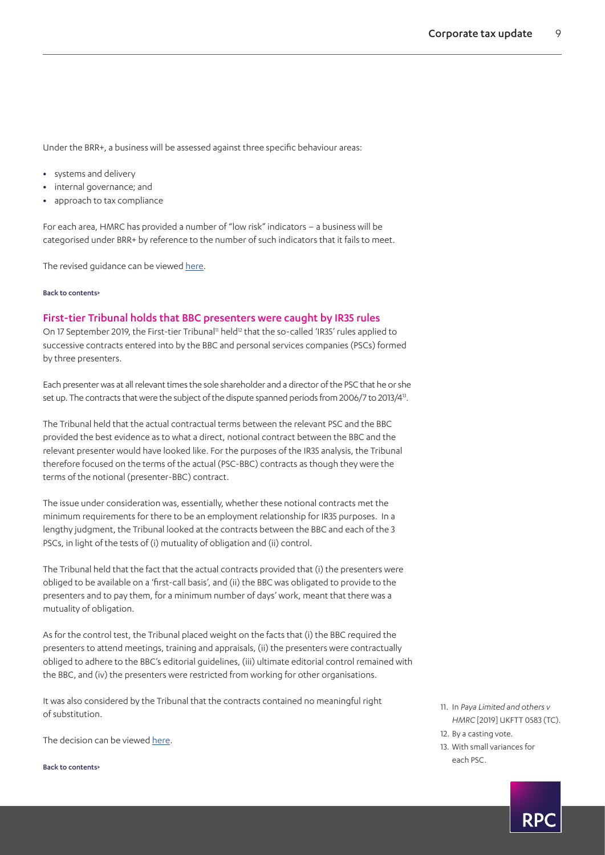Under the BRR+, a business will be assessed against three specific behaviour areas:

- **•** systems and delivery
- **•** internal governance; and
- **•** approach to tax compliance

For each area, HMRC has provided a number of "low risk" indicators – a business will be categorised under BRR+ by reference to the number of such indicators that it fails to meet.

The revised quidance can be viewed [here](https://www.gov.uk/hmrc-internal-manuals/tax-compliance-risk-management/updates).

#### [Back to contents>](#page-0-0)

#### <span id="page-8-0"></span>First-tier Tribunal holds that BBC presenters were caught by IR35 rules

On 17 September 2019, the First-tier Tribunal<sup>[11](#page-8-1)</sup> held<sup>12</sup> that the so-called 'IR35' rules applied to successive contracts entered into by the BBC and personal services companies (PSCs) formed by three presenters.

Each presenter was at all relevant times the sole shareholder and a director of the PSC that he or she set up. The contracts that were the subject of the dispute spanned periods from 2006/7 to 2013/[413.](#page-8-3)

The Tribunal held that the actual contractual terms between the relevant PSC and the BBC provided the best evidence as to what a direct, notional contract between the BBC and the relevant presenter would have looked like. For the purposes of the IR35 analysis, the Tribunal therefore focused on the terms of the actual (PSC-BBC) contracts as though they were the terms of the notional (presenter-BBC) contract.

The issue under consideration was, essentially, whether these notional contracts met the minimum requirements for there to be an employment relationship for IR35 purposes. In a lengthy judgment, the Tribunal looked at the contracts between the BBC and each of the 3 PSCs, in light of the tests of (i) mutuality of obligation and (ii) control.

The Tribunal held that the fact that the actual contracts provided that (i) the presenters were obliged to be available on a 'first-call basis', and (ii) the BBC was obligated to provide to the presenters and to pay them, for a minimum number of days' work, meant that there was a mutuality of obligation.

As for the control test, the Tribunal placed weight on the facts that (i) the BBC required the presenters to attend meetings, training and appraisals, (ii) the presenters were contractually obliged to adhere to the BBC's editorial guidelines, (iii) ultimate editorial control remained with the BBC, and (iv) the presenters were restricted from working for other organisations.

It was also considered by the Tribunal that the contracts contained no meaningful right of substitution.

The decision can be viewed [here](http://financeandtax.decisions.tribunals.gov.uk//judgmentfiles/j11337/TC07377.pdf).

[Back to contents>](#page-0-0)

- <span id="page-8-1"></span>11. In *Paya Limited and others v HMRC* [2019] UKFTT 0583 (TC).
- <span id="page-8-2"></span>12. By a casting vote.
- <span id="page-8-3"></span>13. With small variances for each PSC.